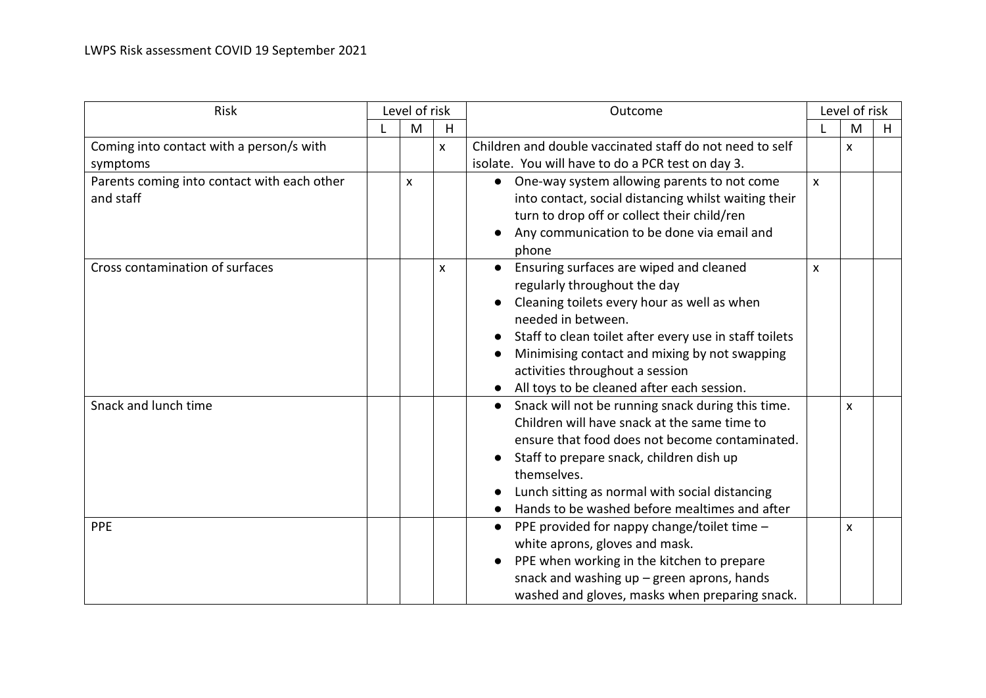| Risk                                        | Level of risk |                           |                           | Outcome                                                        |    | Level of risk |   |  |
|---------------------------------------------|---------------|---------------------------|---------------------------|----------------------------------------------------------------|----|---------------|---|--|
|                                             |               | M                         | H                         |                                                                |    | M             | H |  |
| Coming into contact with a person/s with    |               |                           | $\mathsf{x}$              | Children and double vaccinated staff do not need to self       |    | X             |   |  |
| symptoms                                    |               |                           |                           | isolate. You will have to do a PCR test on day 3.              |    |               |   |  |
| Parents coming into contact with each other |               | $\boldsymbol{\mathsf{x}}$ |                           | One-way system allowing parents to not come                    | X. |               |   |  |
| and staff                                   |               |                           |                           | into contact, social distancing whilst waiting their           |    |               |   |  |
|                                             |               |                           |                           | turn to drop off or collect their child/ren                    |    |               |   |  |
|                                             |               |                           |                           | Any communication to be done via email and                     |    |               |   |  |
|                                             |               |                           |                           | phone                                                          |    |               |   |  |
| Cross contamination of surfaces             |               |                           | $\boldsymbol{\mathsf{x}}$ | Ensuring surfaces are wiped and cleaned                        | X  |               |   |  |
|                                             |               |                           |                           | regularly throughout the day                                   |    |               |   |  |
|                                             |               |                           |                           | Cleaning toilets every hour as well as when                    |    |               |   |  |
|                                             |               |                           |                           | needed in between.                                             |    |               |   |  |
|                                             |               |                           |                           | Staff to clean toilet after every use in staff toilets         |    |               |   |  |
|                                             |               |                           |                           | Minimising contact and mixing by not swapping                  |    |               |   |  |
|                                             |               |                           |                           | activities throughout a session                                |    |               |   |  |
|                                             |               |                           |                           | All toys to be cleaned after each session.                     |    |               |   |  |
| Snack and lunch time                        |               |                           |                           | Snack will not be running snack during this time.<br>$\bullet$ |    | X             |   |  |
|                                             |               |                           |                           | Children will have snack at the same time to                   |    |               |   |  |
|                                             |               |                           |                           | ensure that food does not become contaminated.                 |    |               |   |  |
|                                             |               |                           |                           | Staff to prepare snack, children dish up                       |    |               |   |  |
|                                             |               |                           |                           | themselves.                                                    |    |               |   |  |
|                                             |               |                           |                           | Lunch sitting as normal with social distancing                 |    |               |   |  |
|                                             |               |                           |                           | Hands to be washed before mealtimes and after                  |    |               |   |  |
| <b>PPE</b>                                  |               |                           |                           | PPE provided for nappy change/toilet time -<br>$\bullet$       |    | X             |   |  |
|                                             |               |                           |                           | white aprons, gloves and mask.                                 |    |               |   |  |
|                                             |               |                           |                           | PPE when working in the kitchen to prepare                     |    |               |   |  |
|                                             |               |                           |                           | snack and washing $up$ – green aprons, hands                   |    |               |   |  |
|                                             |               |                           |                           | washed and gloves, masks when preparing snack.                 |    |               |   |  |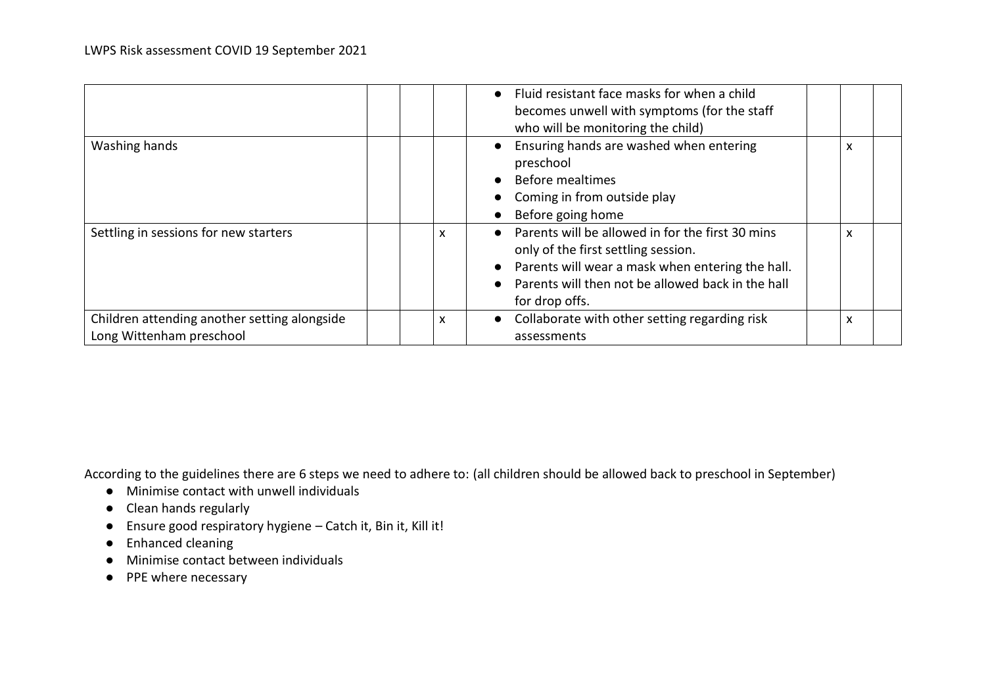|                                                                          |   | • Fluid resistant face masks for when a child<br>becomes unwell with symptoms (for the staff<br>who will be monitoring the child)                                                                                  |   |
|--------------------------------------------------------------------------|---|--------------------------------------------------------------------------------------------------------------------------------------------------------------------------------------------------------------------|---|
| Washing hands                                                            |   | Ensuring hands are washed when entering<br>preschool<br><b>Before mealtimes</b><br>Coming in from outside play<br>Before going home                                                                                | X |
| Settling in sessions for new starters                                    | x | Parents will be allowed in for the first 30 mins<br>only of the first settling session.<br>Parents will wear a mask when entering the hall.<br>Parents will then not be allowed back in the hall<br>for drop offs. | x |
| Children attending another setting alongside<br>Long Wittenham preschool | X | Collaborate with other setting regarding risk<br>assessments                                                                                                                                                       | x |

According to the guidelines there are 6 steps we need to adhere to: (all children should be allowed back to preschool in September)

- Minimise contact with unwell individuals
- Clean hands regularly
- Ensure good respiratory hygiene Catch it, Bin it, Kill it!
- Enhanced cleaning
- Minimise contact between individuals
- PPE where necessary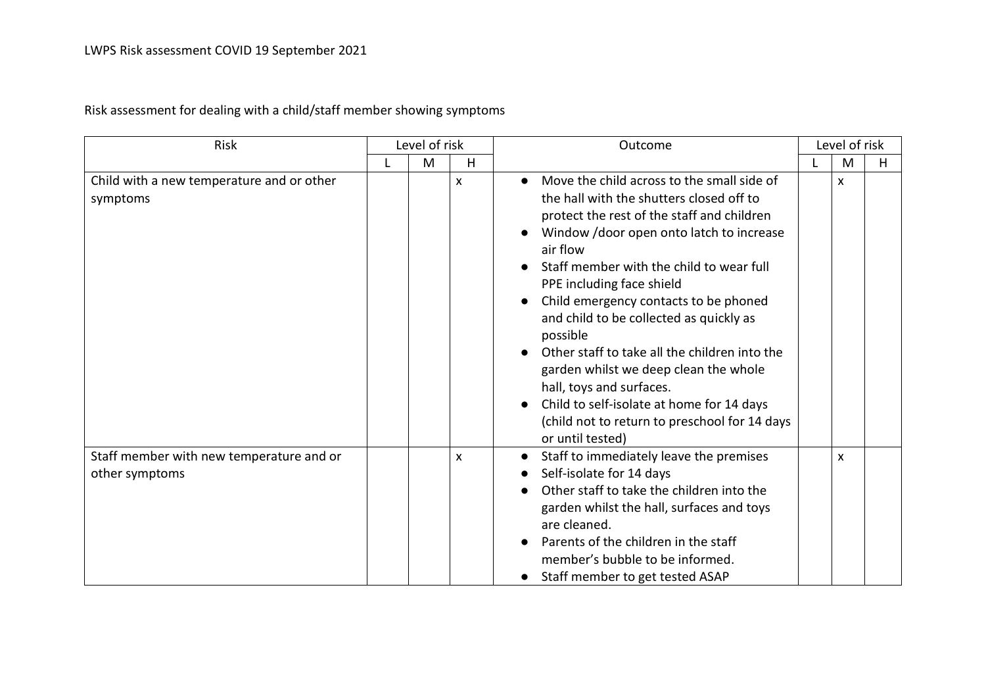Risk assessment for dealing with a child/staff member showing symptoms

| Risk                                                       | Level of risk |   |                | Outcome                                                                                                                                                                                                                                                                                                                                                                                                                                                                                                                                                                                                                     |  | Level of risk |   |  |
|------------------------------------------------------------|---------------|---|----------------|-----------------------------------------------------------------------------------------------------------------------------------------------------------------------------------------------------------------------------------------------------------------------------------------------------------------------------------------------------------------------------------------------------------------------------------------------------------------------------------------------------------------------------------------------------------------------------------------------------------------------------|--|---------------|---|--|
|                                                            |               | M | H              |                                                                                                                                                                                                                                                                                                                                                                                                                                                                                                                                                                                                                             |  | M             | H |  |
| Child with a new temperature and or other<br>symptoms      |               |   | $\pmb{\times}$ | Move the child across to the small side of<br>$\bullet$<br>the hall with the shutters closed off to<br>protect the rest of the staff and children<br>Window / door open onto latch to increase<br>air flow<br>Staff member with the child to wear full<br>PPE including face shield<br>Child emergency contacts to be phoned<br>and child to be collected as quickly as<br>possible<br>Other staff to take all the children into the<br>garden whilst we deep clean the whole<br>hall, toys and surfaces.<br>Child to self-isolate at home for 14 days<br>(child not to return to preschool for 14 days<br>or until tested) |  | X             |   |  |
| Staff member with new temperature and or<br>other symptoms |               |   | X              | Staff to immediately leave the premises<br>Self-isolate for 14 days<br>Other staff to take the children into the<br>garden whilst the hall, surfaces and toys<br>are cleaned.<br>Parents of the children in the staff<br>member's bubble to be informed.<br>Staff member to get tested ASAP<br>$\bullet$                                                                                                                                                                                                                                                                                                                    |  | X             |   |  |